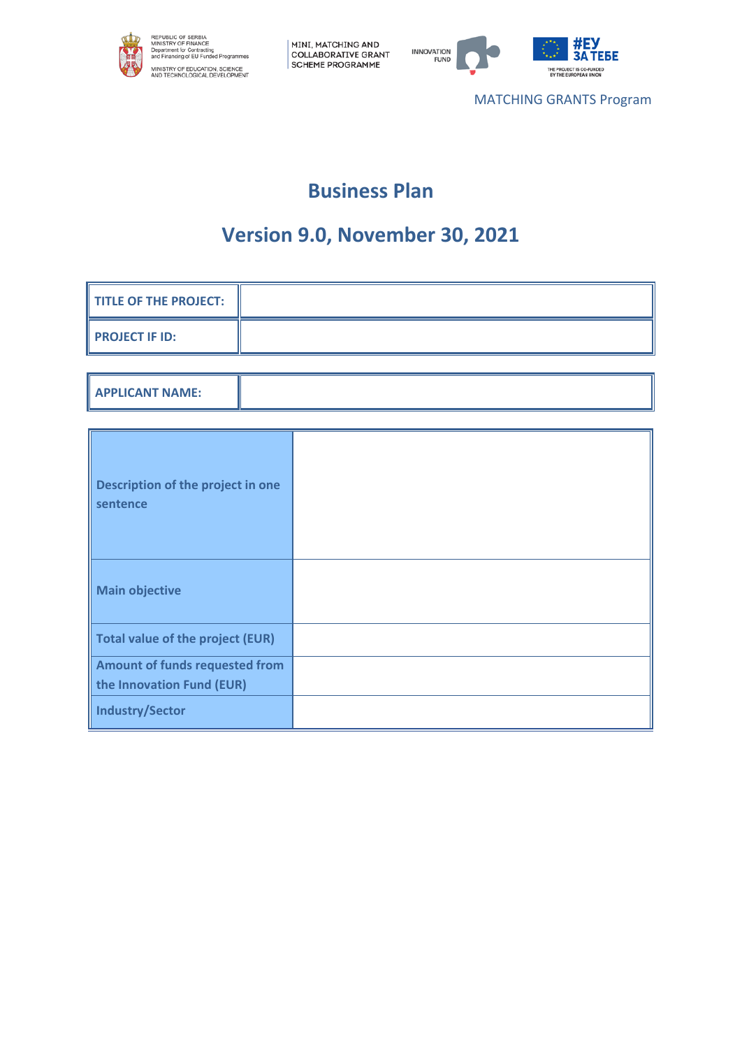



MATCHING GRANTS Program

# **Business Plan**

# **Version 9.0, November 30, 2021**

| <b>TITLE OF THE PROJECT:</b>                                |  |
|-------------------------------------------------------------|--|
| <b>PROJECT IF ID:</b>                                       |  |
|                                                             |  |
| <b>APPLICANT NAME:</b>                                      |  |
|                                                             |  |
| Description of the project in one<br>sentence               |  |
| <b>Main objective</b>                                       |  |
| <b>Total value of the project (EUR)</b>                     |  |
| Amount of funds requested from<br>the Innovation Fund (EUR) |  |
| <b>Industry/Sector</b>                                      |  |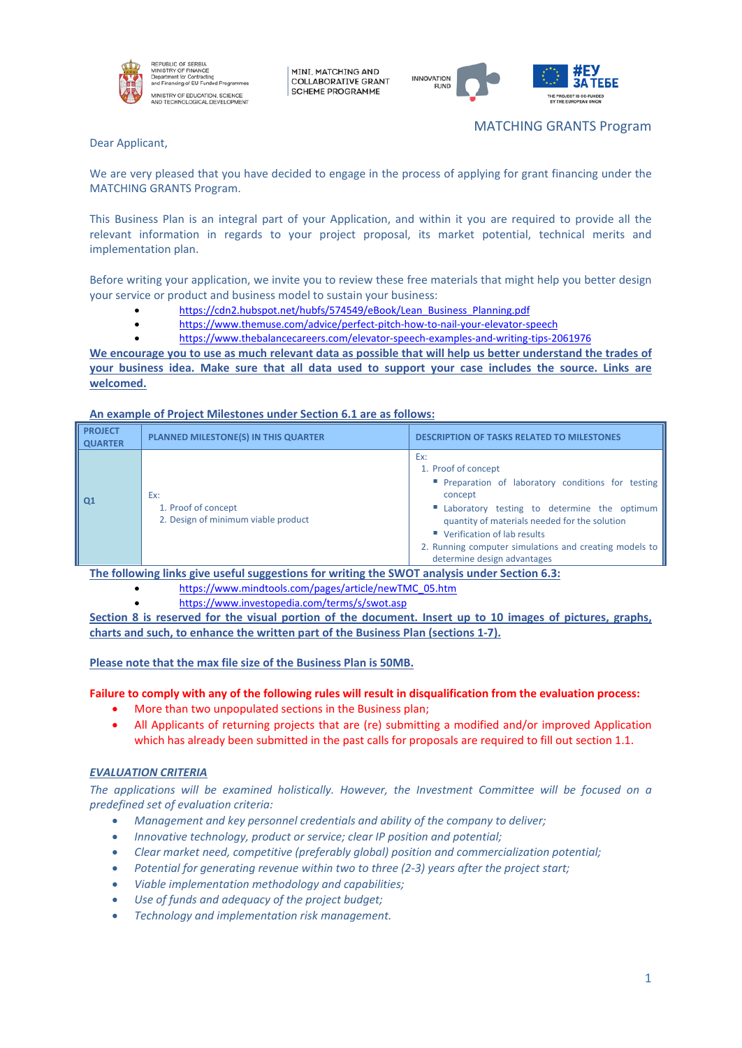

MINI, MATCHING AND **COLLABORATIVE GRANT SCHEME PROGRAMME** 



MATCHING GRANTS Program

Dear Applicant,

We are very pleased that you have decided to engage in the process of applying for grant financing under the MATCHING GRANTS Program.

This Business Plan is an integral part of your Application, and within it you are required to provide all the relevant information in regards to your project proposal, its market potential, technical merits and implementation plan.

Before writing your application, we invite you to review these free materials that might help you better design your service or product and business model to sustain your business:

- [https://cdn2.hubspot.net/hubfs/574549/eBook/Lean\\_Business\\_Planning.pdf](https://cdn2.hubspot.net/hubfs/574549/eBook/Lean_Business_Planning.pdf)
- <https://www.themuse.com/advice/perfect-pitch-how-to-nail-your-elevator-speech>
- <https://www.thebalancecareers.com/elevator-speech-examples-and-writing-tips-2061976>

**We encourage you to use as much relevant data as possible that will help us better understand the trades of your business idea. Make sure that all data used to support your case includes the source. Links are welcomed.**

**An example of Project Milestones under Section 6.1 are as follows:**

| <b>PROJECT</b><br><b>QUARTER</b> | <b>PLANNED MILESTONE(S) IN THIS QUARTER</b>                       | <b>DESCRIPTION OF TASKS RELATED TO MILESTONES</b>                                                                                                                                                                                                                                                                            |
|----------------------------------|-------------------------------------------------------------------|------------------------------------------------------------------------------------------------------------------------------------------------------------------------------------------------------------------------------------------------------------------------------------------------------------------------------|
| Q1                               | Ex:<br>1. Proof of concept<br>2. Design of minimum viable product | Ex:<br>1. Proof of concept<br><b>Preparation of laboratory conditions for testing</b><br>concept<br>" Laboratory testing to determine the optimum<br>quantity of materials needed for the solution<br>■ Verification of lab results<br>2. Running computer simulations and creating models to<br>determine design advantages |

**The following links give useful suggestions for writing the SWOT analysis under Section 6.3:**

- [https://www.mindtools.com/pages/article/newTMC\\_05.htm](https://www.mindtools.com/pages/article/newTMC_05.htm)
	- <https://www.investopedia.com/terms/s/swot.asp>

**Section 8 is reserved for the visual portion of the document. Insert up to 10 images of pictures, graphs, charts and such, to enhance the written part of the Business Plan (sections 1-7).** 

**Please note that the max file size of the Business Plan is 50MB.**

### **Failure to comply with any of the following rules will result in disqualification from the evaluation process:**

- More than two unpopulated sections in the Business plan;
- All Applicants of returning projects that are (re) submitting a modified and/or improved Application which has already been submitted in the past calls for proposals are required to fill out section 1.1.

### *EVALUATION CRITERIA*

*The applications will be examined holistically. However, the Investment Committee will be focused on a predefined set of evaluation criteria:* 

- *Management and key personnel credentials and ability of the company to deliver;*
- *Innovative technology, product or service; clear IP position and potential;*
- *Clear market need, competitive (preferably global) position and commercialization potential;*
- *Potential for generating revenue within two to three (2-3) years after the project start;*
- *Viable implementation methodology and capabilities;*
- *Use of funds and adequacy of the project budget;*
- *Technology and implementation risk management.*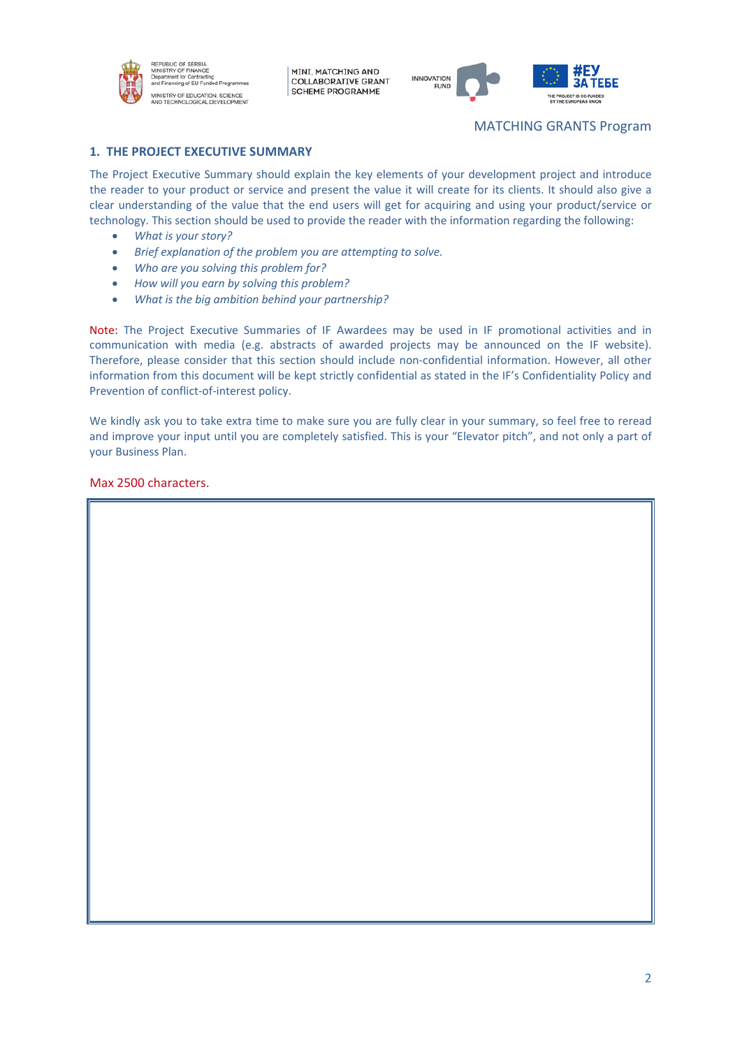



# MATCHING GRANTS Program

### **1. THE PROJECT EXECUTIVE SUMMARY**

,<br>ad Proora

The Project Executive Summary should explain the key elements of your development project and introduce the reader to your product or service and present the value it will create for its clients. It should also give a clear understanding of the value that the end users will get for acquiring and using your product/service or technology. This section should be used to provide the reader with the information regarding the following:

- *What is your story?*
- *Brief explanation of the problem you are attempting to solve.*
- *Who are you solving this problem for?*
- *How will you earn by solving this problem?*
- *What is the big ambition behind your partnership?*

Note: The Project Executive Summaries of IF Awardees may be used in IF promotional activities and in communication with media (e.g. abstracts of awarded projects may be announced on the IF website). Therefore, please consider that this section should include non-confidential information. However, all other information from this document will be kept strictly confidential as stated in the IF's Confidentiality Policy and Prevention of conflict-of-interest policy.

We kindly ask you to take extra time to make sure you are fully clear in your summary, so feel free to reread and improve your input until you are completely satisfied. This is your "Elevator pitch", and not only a part of your Business Plan.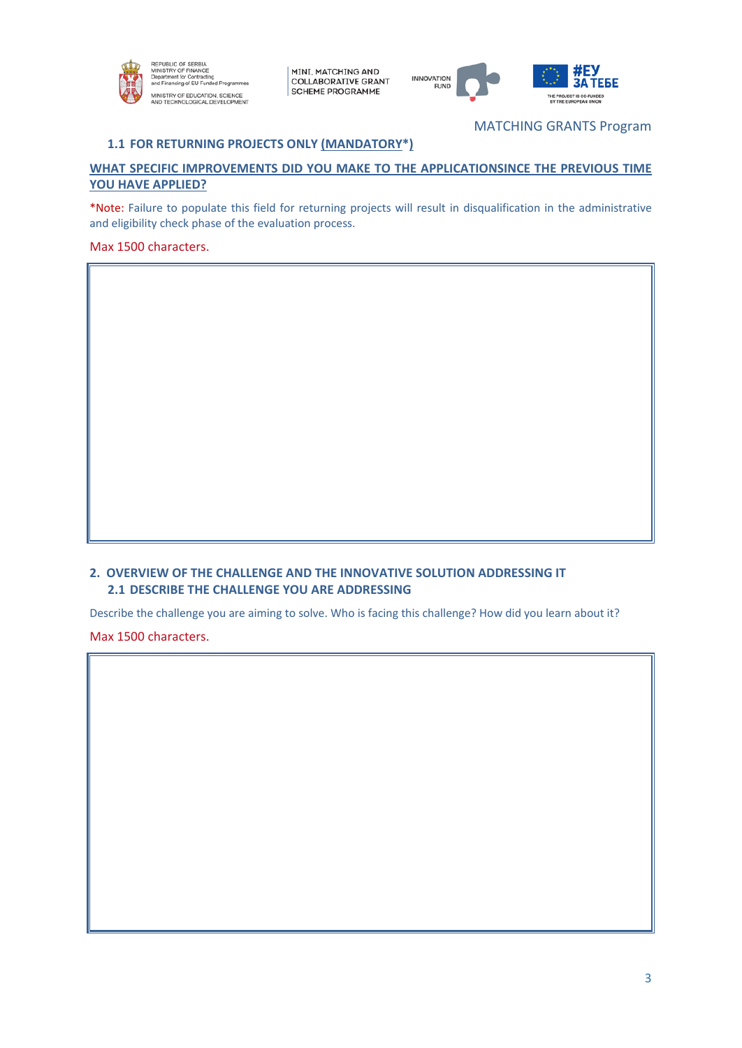



MATCHING GRANTS Program

# **1.1 FOR RETURNING PROJECTS ONLY (MANDATORY\*)**

# **WHAT SPECIFIC IMPROVEMENTS DID YOU MAKE TO THE APPLICATIONSINCE THE PREVIOUS TIME YOU HAVE APPLIED?**

\*Note: Failure to populate this field for returning projects will result in disqualification in the administrative and eligibility check phase of the evaluation process.

## Max 1500 characters.

## **2. OVERVIEW OF THE CHALLENGE AND THE INNOVATIVE SOLUTION ADDRESSING IT 2.1 DESCRIBE THE CHALLENGE YOU ARE ADDRESSING**

Describe the challenge you are aiming to solve. Who is facing this challenge? How did you learn about it?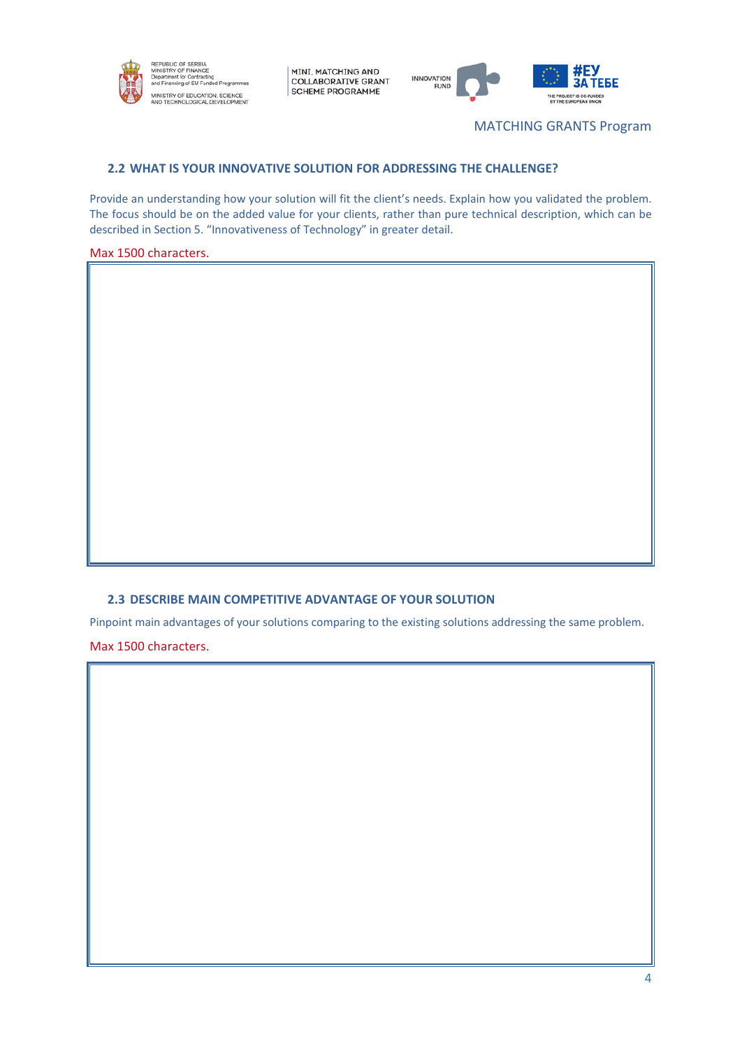



MATCHING GRANTS Program

# **2.2 WHAT IS YOUR INNOVATIVE SOLUTION FOR ADDRESSING THE CHALLENGE?**

Provide an understanding how your solution will fit the client's needs. Explain how you validated the problem. The focus should be on the added value for your clients, rather than pure technical description, which can be described in Section 5. "Innovativeness of Technology" in greater detail.

### Max 1500 characters.

## **2.3 DESCRIBE MAIN COMPETITIVE ADVANTAGE OF YOUR SOLUTION**

Pinpoint main advantages of your solutions comparing to the existing solutions addressing the same problem.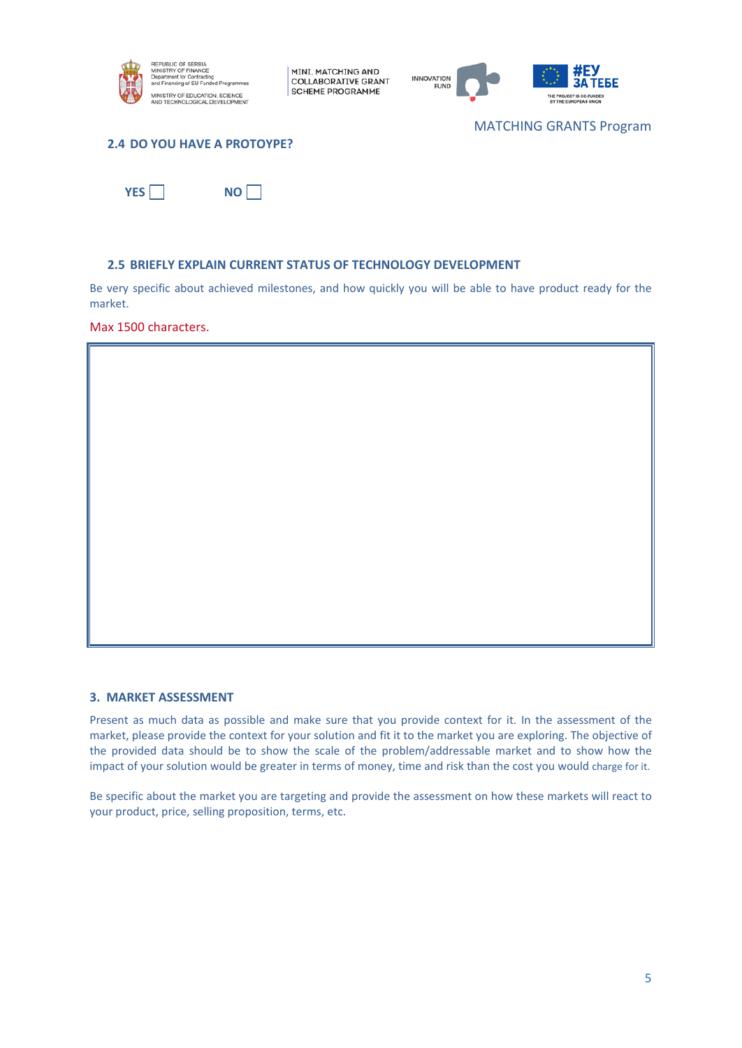



MATCHING GRANTS Program

### **2.4 DO YOU HAVE A PROTOYPE?**

 $YES \Box$  **NO** $\Box$ 

### **2.5 BRIEFLY EXPLAIN CURRENT STATUS OF TECHNOLOGY DEVELOPMENT**

Be very specific about achieved milestones, and how quickly you will be able to have product ready for the market.

Max 1500 characters.

### **3. MARKET ASSESSMENT**

Present as much data as possible and make sure that you provide context for it. In the assessment of the market, please provide the context for your solution and fit it to the market you are exploring. The objective of the provided data should be to show the scale of the problem/addressable market and to show how the impact of your solution would be greater in terms of money, time and risk than the cost you would charge for it.

Be specific about the market you are targeting and provide the assessment on how these markets will react to your product, price, selling proposition, terms, etc.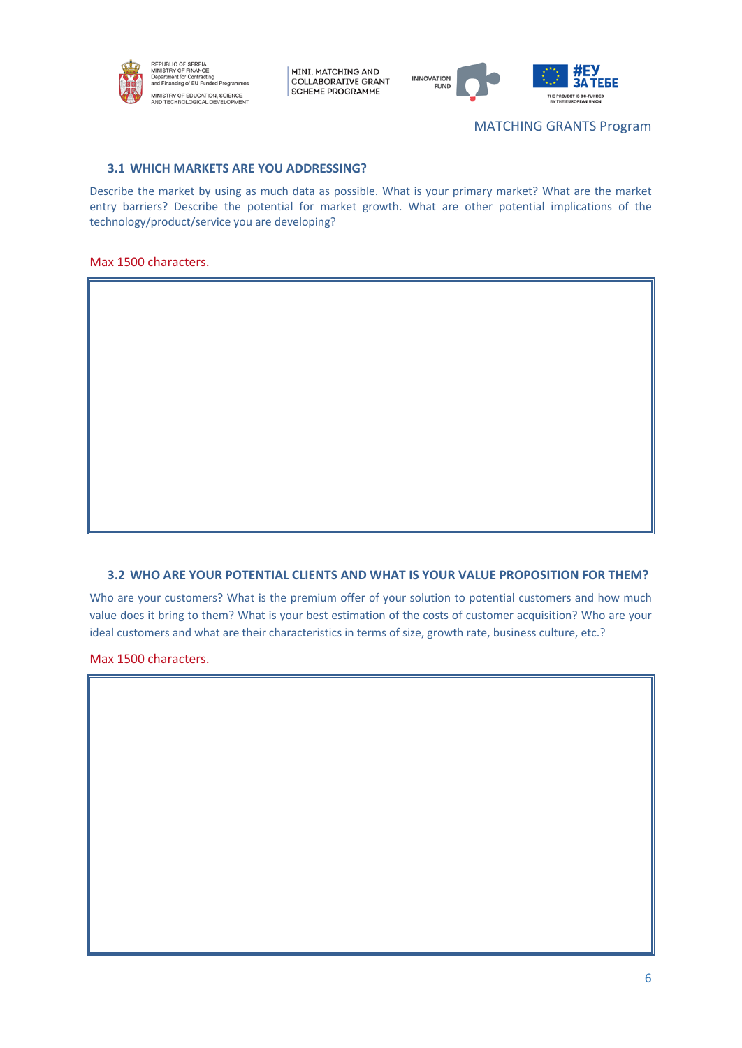



MATCHING GRANTS Program

### **3.1 WHICH MARKETS ARE YOU ADDRESSING?**

Describe the market by using as much data as possible. What is your primary market? What are the market entry barriers? Describe the potential for market growth. What are other potential implications of the technology/product/service you are developing?

#### Max 1500 characters.

### **3.2 WHO ARE YOUR POTENTIAL CLIENTS AND WHAT IS YOUR VALUE PROPOSITION FOR THEM?**

Who are your customers? What is the premium offer of your solution to potential customers and how much value does it bring to them? What is your best estimation of the costs of customer acquisition? Who are your ideal customers and what are their characteristics in terms of size, growth rate, business culture, etc.?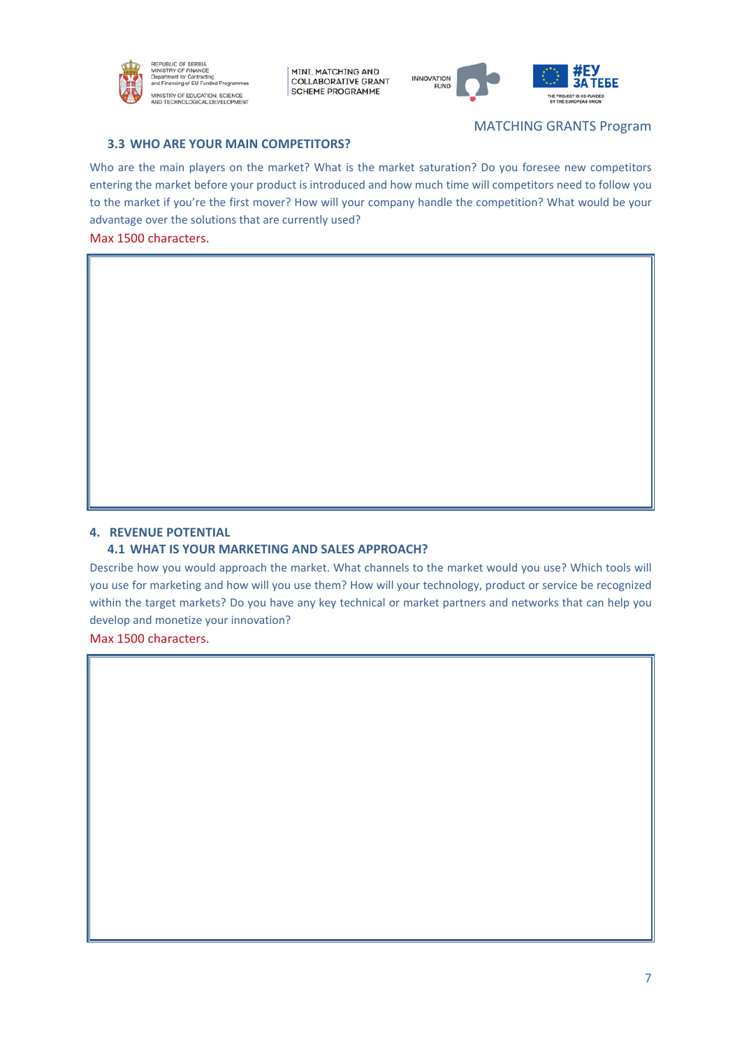

**MINI MATCHING AND COLLABORATIVE GRANT** SCHEME PROGRAMME



### **3.3 WHO ARE YOUR MAIN COMPETITORS?**

### MATCHING GRANTS Program

Who are the main players on the market? What is the market saturation? Do you foresee new competitors entering the market before your product is introduced and how much time will competitors need to follow you to the market if you're the first mover? How will your company handle the competition? What would be your advantage over the solutions that are currently used?

Max 1500 characters.

### **4. REVENUE POTENTIAL**

### **4.1 WHAT IS YOUR MARKETING AND SALES APPROACH?**

Describe how you would approach the market. What channels to the market would you use? Which tools will you use for marketing and how will you use them? How will your technology, product or service be recognized within the target markets? Do you have any key technical or market partners and networks that can help you develop and monetize your innovation?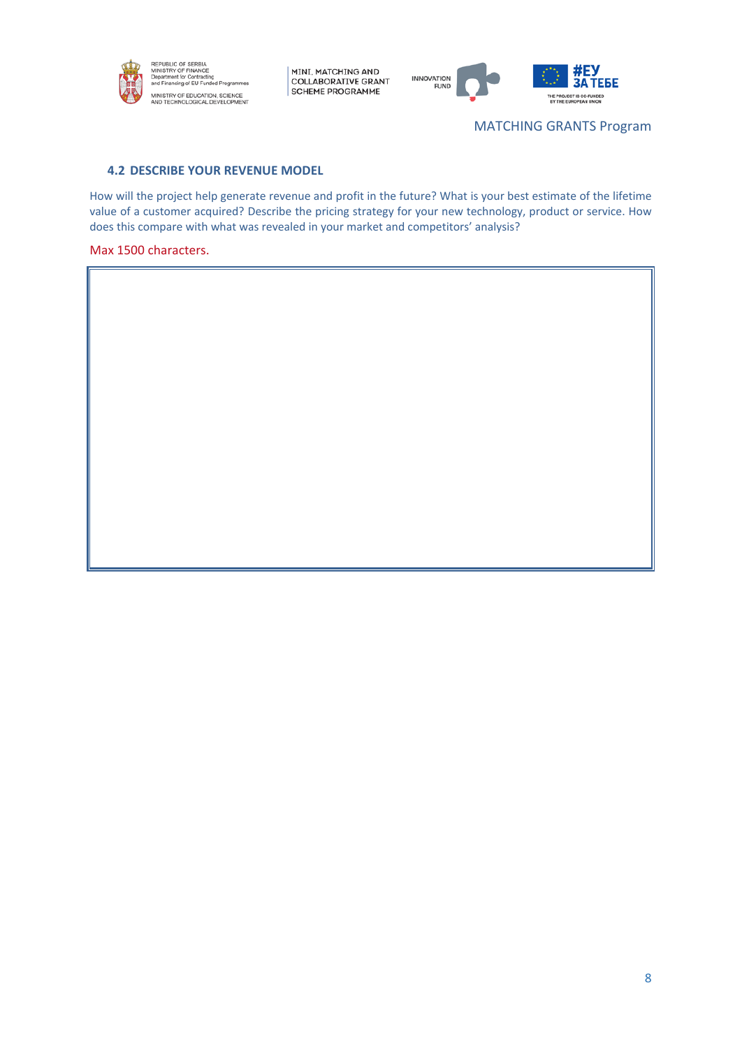



MATCHING GRANTS Program

### **4.2 DESCRIBE YOUR REVENUE MODEL**

How will the project help generate revenue and profit in the future? What is your best estimate of the lifetime value of a customer acquired? Describe the pricing strategy for your new technology, product or service. How does this compare with what was revealed in your market and competitors' analysis?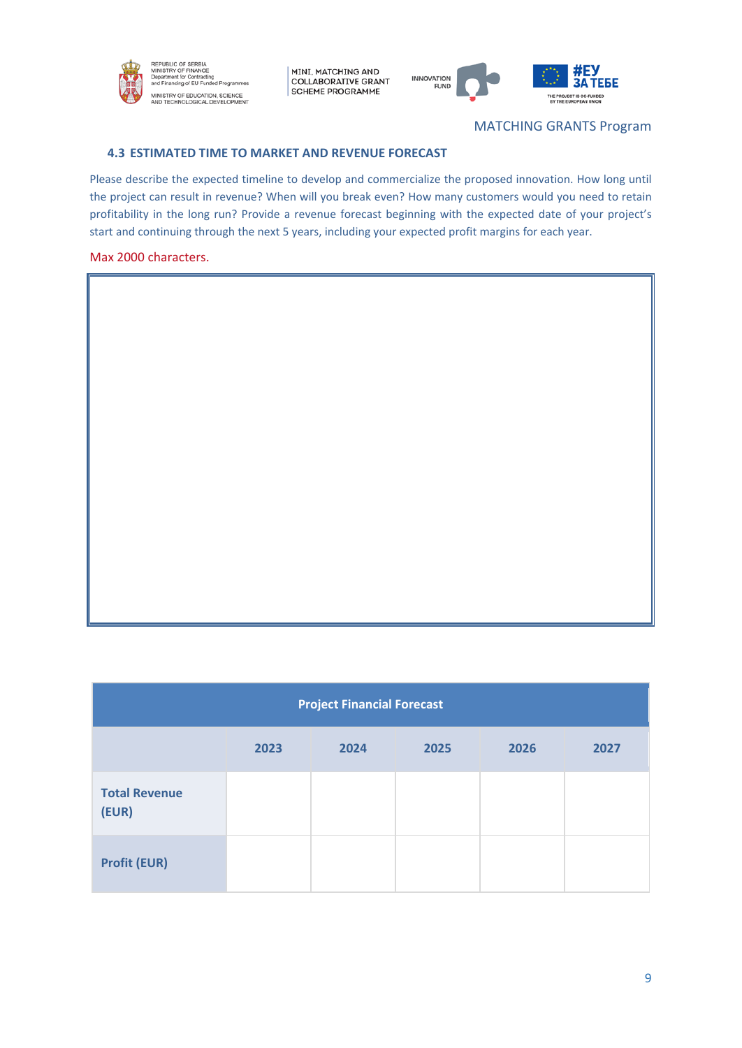



# MATCHING GRANTS Program

ī

### **4.3 ESTIMATED TIME TO MARKET AND REVENUE FORECAST**

Please describe the expected timeline to develop and commercialize the proposed innovation. How long until the project can result in revenue? When will you break even? How many customers would you need to retain profitability in the long run? Provide a revenue forecast beginning with the expected date of your project's start and continuing through the next 5 years, including your expected profit margins for each year.

### Max 2000 characters.

 $\overline{\mathbb{F}}$ 

| <b>Project Financial Forecast</b>    |  |  |  |  |  |  |  |  |
|--------------------------------------|--|--|--|--|--|--|--|--|
| 2024<br>2023<br>2025<br>2026<br>2027 |  |  |  |  |  |  |  |  |
| <b>Total Revenue</b><br>(EUR)        |  |  |  |  |  |  |  |  |
| <b>Profit (EUR)</b>                  |  |  |  |  |  |  |  |  |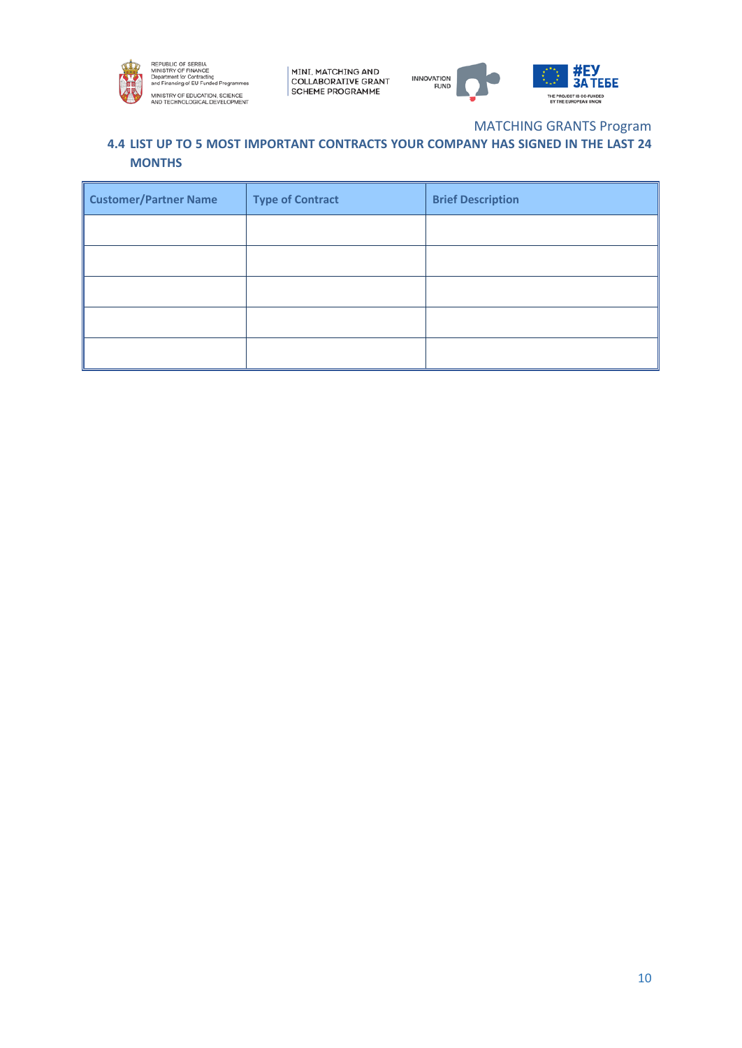



# MATCHING GRANTS Program

# **4.4 LIST UP TO 5 MOST IMPORTANT CONTRACTS YOUR COMPANY HAS SIGNED IN THE LAST 24 MONTHS**

| <b>Customer/Partner Name</b> | <b>Type of Contract</b> | <b>Brief Description</b> |
|------------------------------|-------------------------|--------------------------|
|                              |                         |                          |
|                              |                         |                          |
|                              |                         |                          |
|                              |                         |                          |
|                              |                         |                          |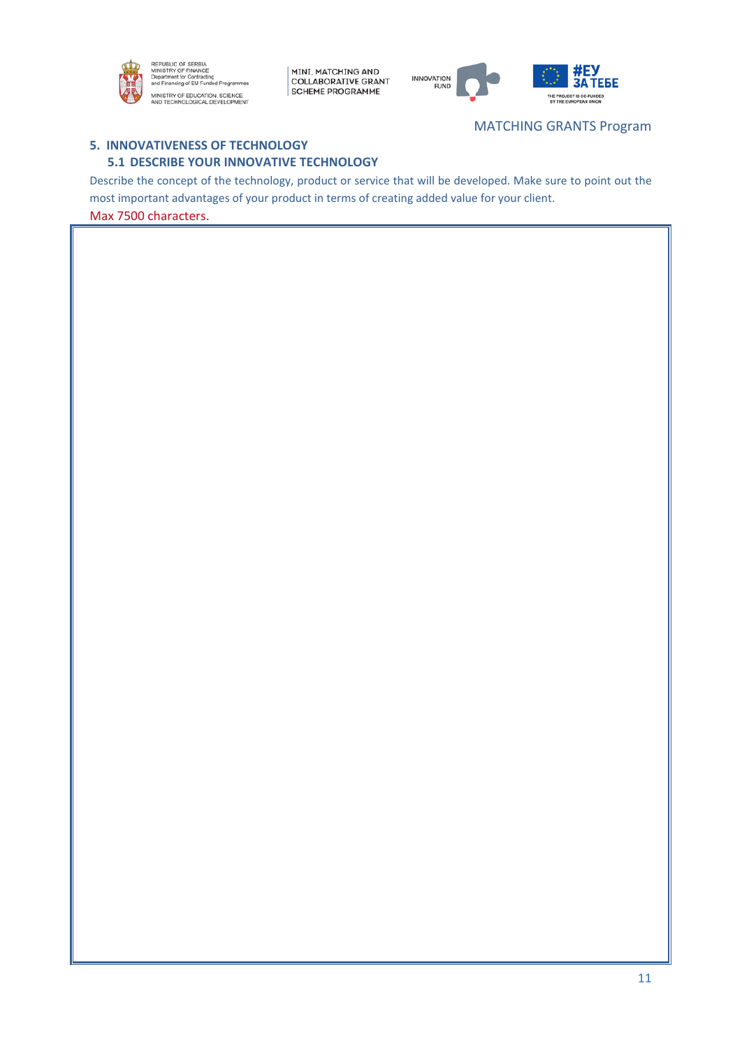



# MATCHING GRANTS Program

# **5. INNOVATIVENESS OF TECHNOLOGY 5.1 DESCRIBE YOUR INNOVATIVE TECHNOLOGY**

Describe the concept of the technology, product or service that will be developed. Make sure to point out the most important advantages of your product in terms of creating added value for your client. Max 7500 characters.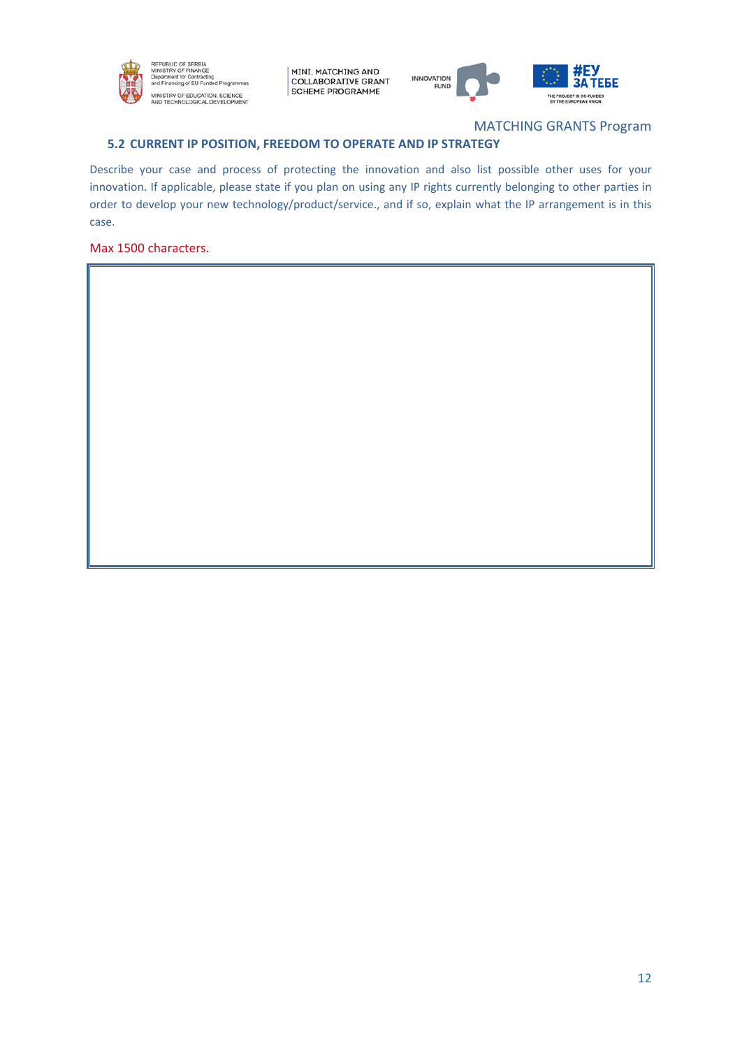



# MATCHING GRANTS Program

# **5.2 CURRENT IP POSITION, FREEDOM TO OPERATE AND IP STRATEGY**

Describe your case and process of protecting the innovation and also list possible other uses for your innovation. If applicable, please state if you plan on using any IP rights currently belonging to other parties in order to develop your new technology/product/service., and if so, explain what the IP arrangement is in this case.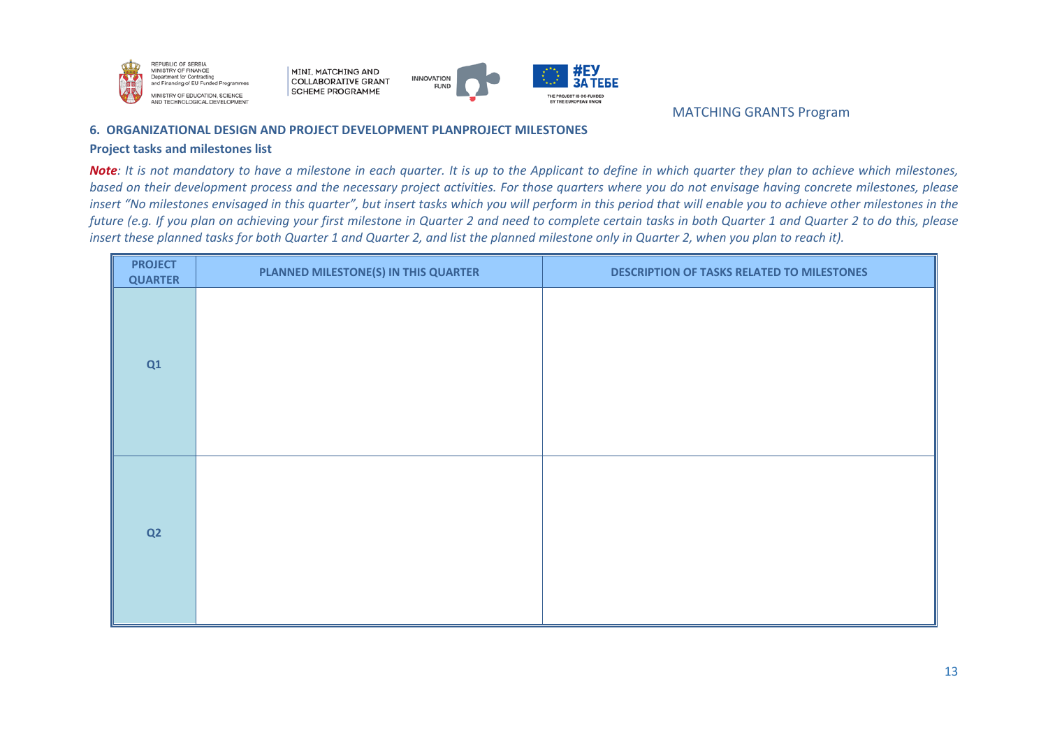



MATCHING GRANTS Program

### **6. ORGANIZATIONAL DESIGN AND PROJECT DEVELOPMENT PLANPROJECT MILESTONES**

### **Project tasks and milestones list**

*Note: It is not mandatory to have a milestone in each quarter. It is up to the Applicant to define in which quarter they plan to achieve which milestones, based on their development process and the necessary project activities. For those quarters where you do not envisage having concrete milestones, please insert "No milestones envisaged in this quarter", but insert tasks which you will perform in this period that will enable you to achieve other milestones in the future (e.g. If you plan on achieving your first milestone in Quarter 2 and need to complete certain tasks in both Quarter 1 and Quarter 2 to do this, please insert these planned tasks for both Quarter 1 and Quarter 2, and list the planned milestone only in Quarter 2, when you plan to reach it).*

| <b>PROJECT</b><br><b>QUARTER</b> | PLANNED MILESTONE(S) IN THIS QUARTER | <b>DESCRIPTION OF TASKS RELATED TO MILESTONES</b> |
|----------------------------------|--------------------------------------|---------------------------------------------------|
| Q1                               |                                      |                                                   |
| Q2                               |                                      |                                                   |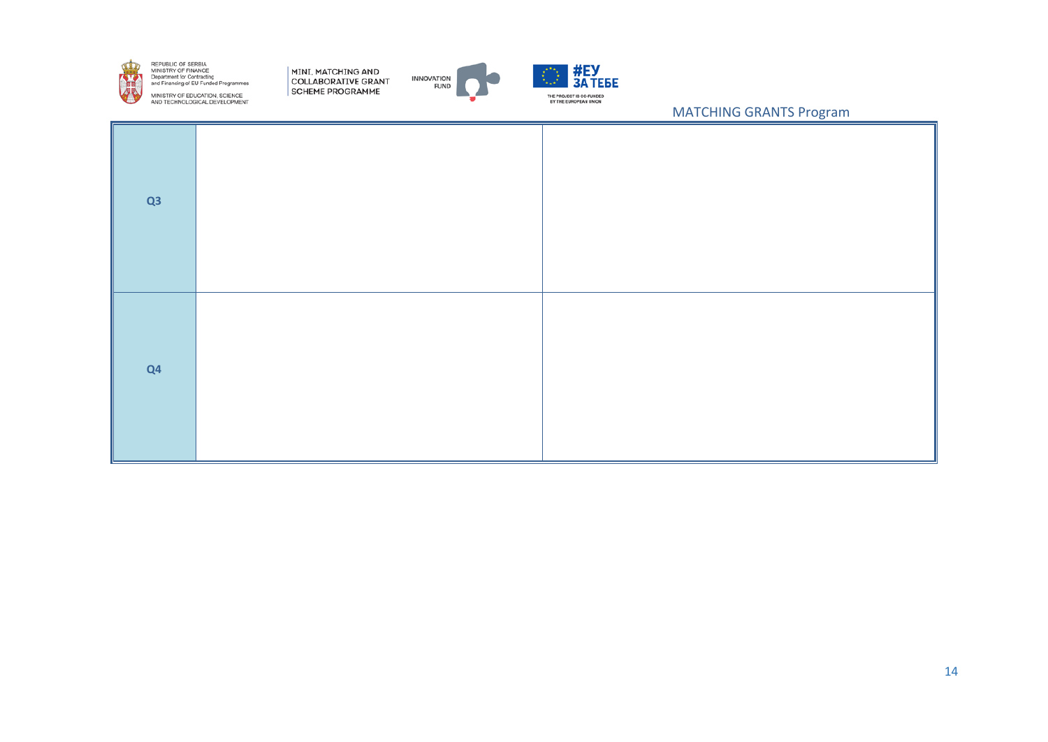

MINI, MATCHING AND COLLABORATIVE GRANT SCHEME PROGRAMME





| Q3 |  |
|----|--|
| Q4 |  |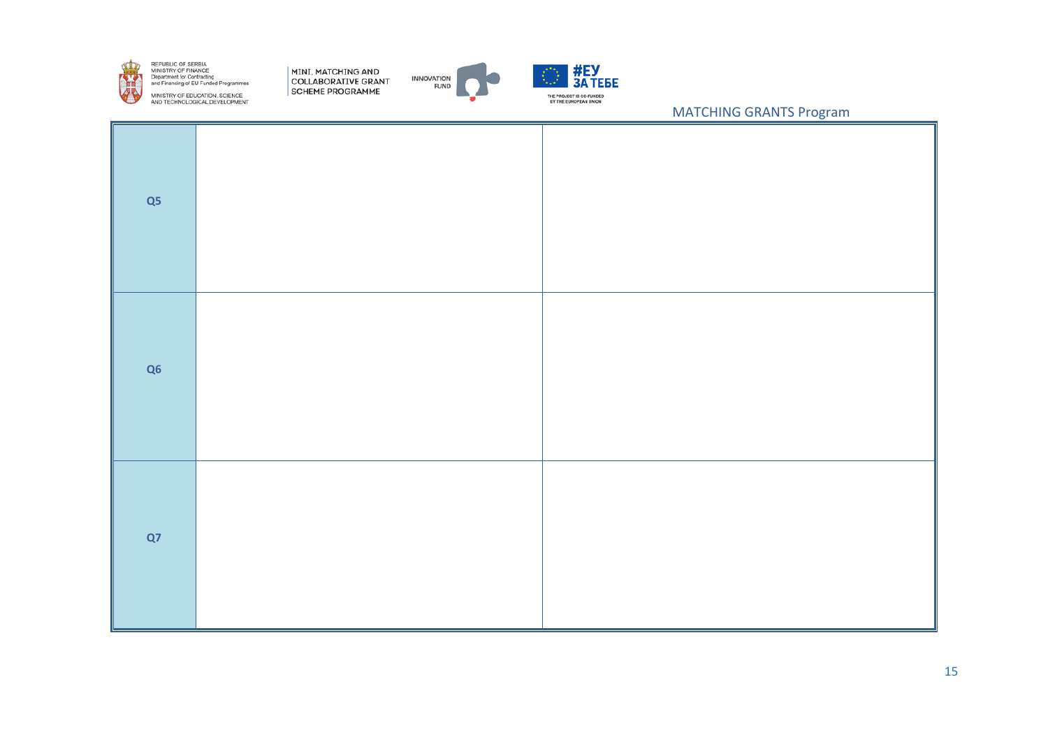

MINI, MATCHING AND COLLABORATIVE GRANT SCHEME PROGRAMME





| Q5 |  |
|----|--|
| Q6 |  |
| Q7 |  |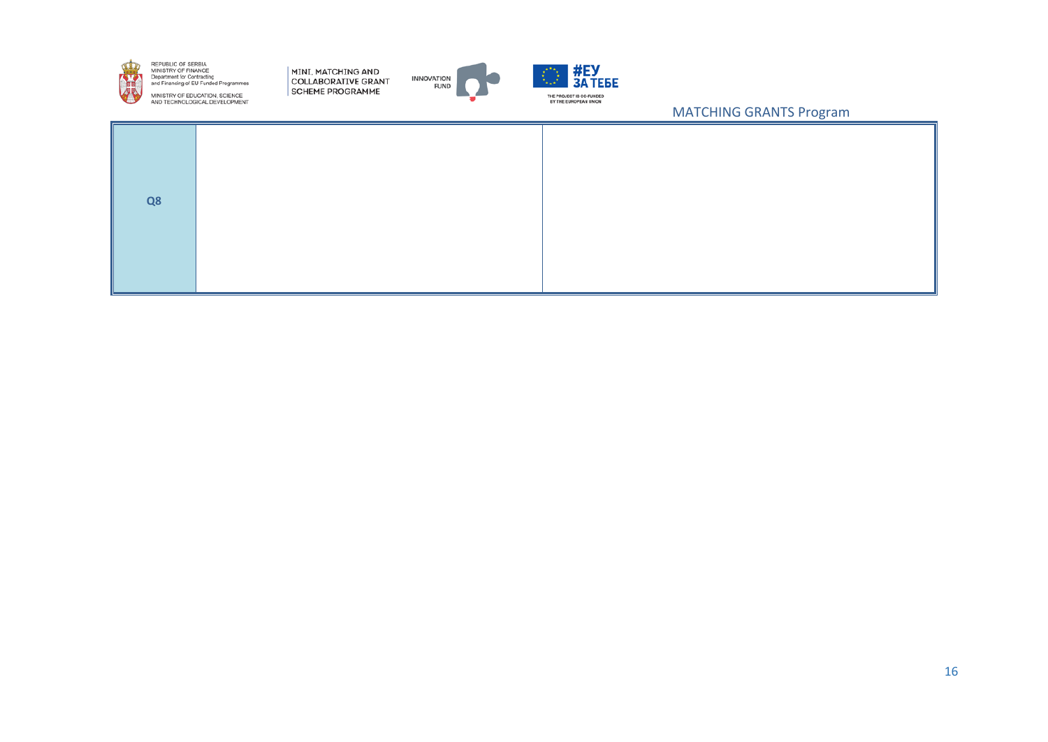

MINI, MATCHING AND COLLABORATIVE GRANT SCHEME PROGRAMME





| Q8 |  |
|----|--|
|    |  |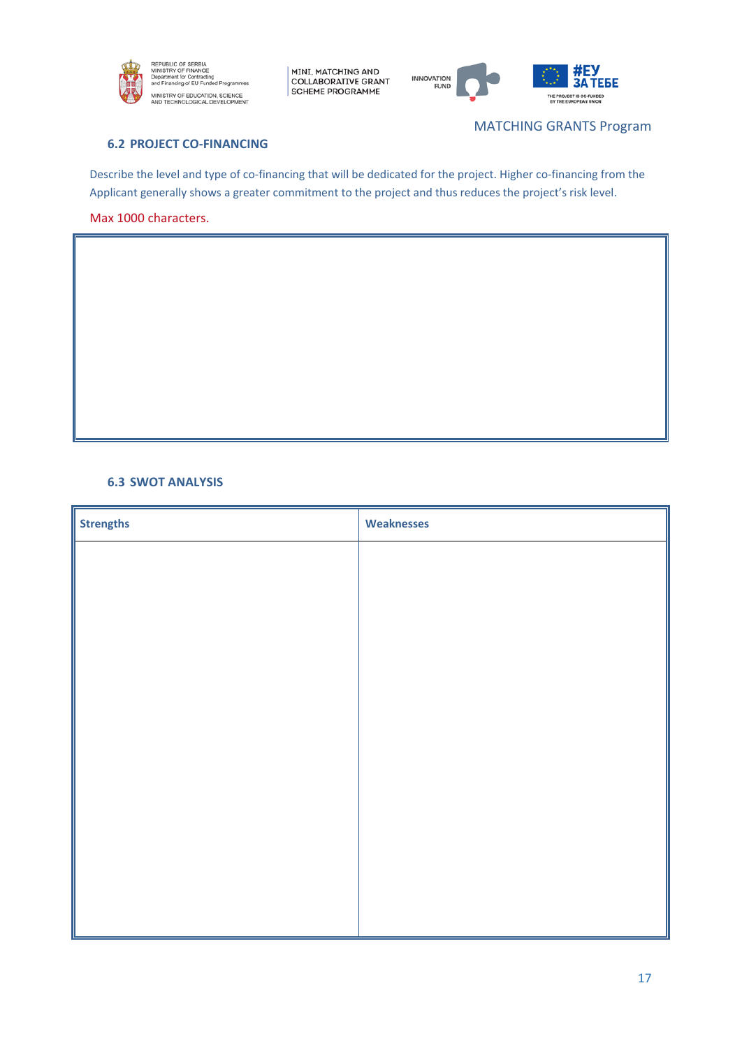



MATCHING GRANTS Program

# **6.2 PROJECT CO-FINANCING**

Describe the level and type of co-financing that will be dedicated for the project. Higher co-financing from the Applicant generally shows a greater commitment to the project and thus reduces the project's risk level.

Max 1000 characters.

### **6.3 SWOT ANALYSIS**

| <b>Strengths</b> | <b>Weaknesses</b> |
|------------------|-------------------|
|                  |                   |
|                  |                   |
|                  |                   |
|                  |                   |
|                  |                   |
|                  |                   |
|                  |                   |
|                  |                   |
|                  |                   |
|                  |                   |
|                  |                   |
|                  |                   |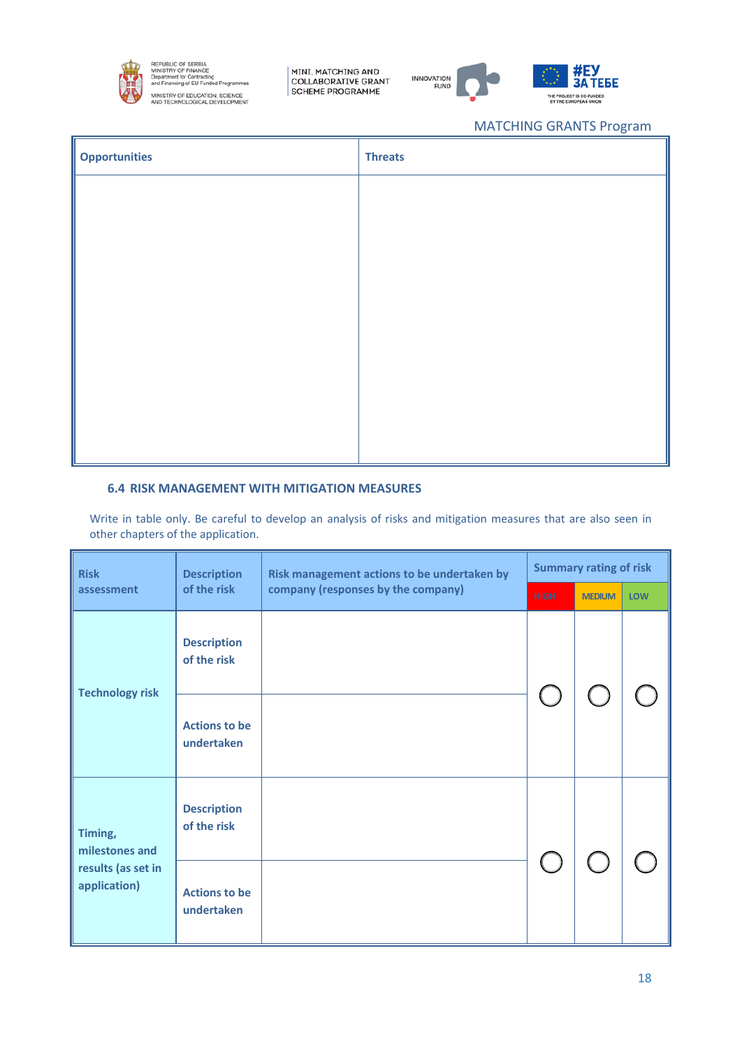

MINI, MATCHING AND<br>COLLABORATIVE GRANT<br>SCHEME PROGRAMME



# MATCHING GRANTS Program

JECT IS CO

**TEBE** 

| <b>Opportunities</b> | <b>Threats</b> |
|----------------------|----------------|
|                      |                |
|                      |                |
|                      |                |
|                      |                |
|                      |                |
|                      |                |
|                      |                |
|                      |                |

# **6.4 RISK MANAGEMENT WITH MITIGATION MEASURES**

Write in table only. Be careful to develop an analysis of risks and mitigation measures that are also seen in other chapters of the application.

| <b>Risk</b>                                                     | <b>Description</b>                 | Risk management actions to be undertaken by | <b>Summary rating of risk</b> |               |            |
|-----------------------------------------------------------------|------------------------------------|---------------------------------------------|-------------------------------|---------------|------------|
| assessment                                                      | of the risk                        | company (responses by the company)          | <b>HIGH</b>                   | <b>MEDIUM</b> | <b>LOW</b> |
| <b>Technology risk</b>                                          | <b>Description</b><br>of the risk  |                                             |                               |               |            |
|                                                                 | <b>Actions to be</b><br>undertaken |                                             |                               |               |            |
| Timing,<br>milestones and<br>results (as set in<br>application) | <b>Description</b><br>of the risk  |                                             |                               |               |            |
|                                                                 | <b>Actions to be</b><br>undertaken |                                             |                               |               |            |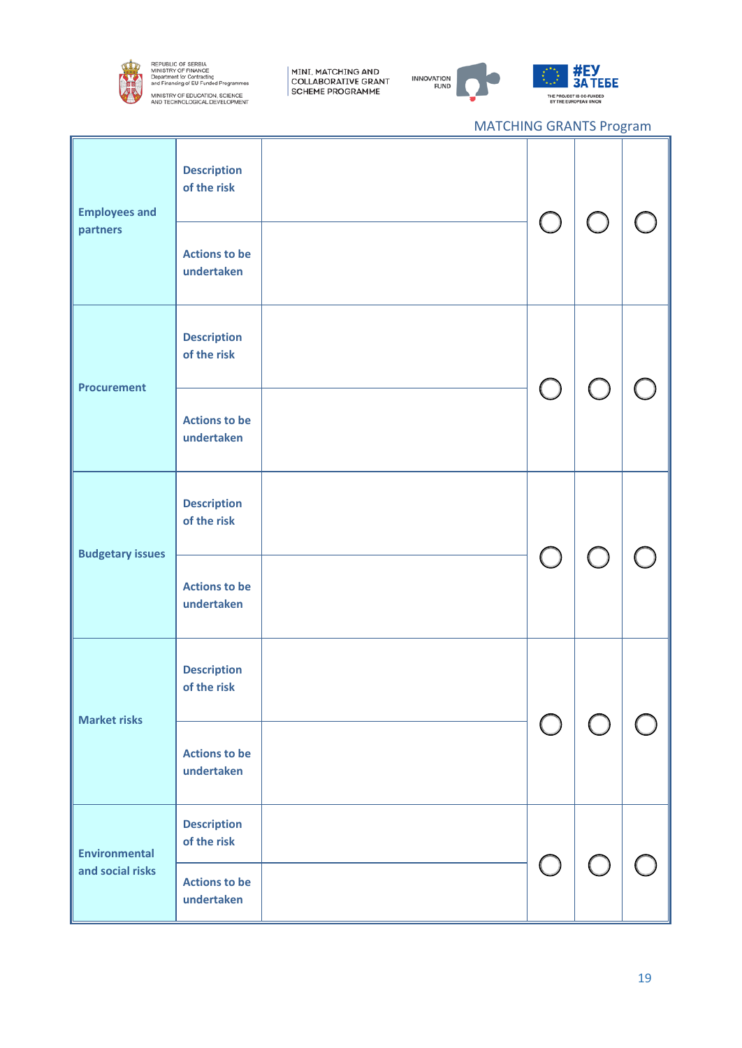

MINI, MATCHING AND<br>COLLABORATIVE GRANT<br>SCHEME PROGRAMME



# #<mark>EУ</mark><br>ЗА ТЕБЕ THE PROJECT IS CO-FUNDED<br>BY THE EUROPEAN UNION

| <b>Employees and</b><br>partners         | <b>Description</b><br>of the risk<br><b>Actions to be</b><br>undertaken |  | $\bigcup$                                     | $\bigcirc$                                    |  |
|------------------------------------------|-------------------------------------------------------------------------|--|-----------------------------------------------|-----------------------------------------------|--|
| <b>Procurement</b>                       | <b>Description</b><br>of the risk                                       |  | $\bigcirc$                                    | $\left( \begin{array}{c} \end{array} \right)$ |  |
|                                          | <b>Actions to be</b><br>undertaken                                      |  |                                               |                                               |  |
| <b>Budgetary issues</b>                  | <b>Description</b><br>of the risk                                       |  |                                               |                                               |  |
|                                          | <b>Actions to be</b><br>undertaken                                      |  | $\bigcup$                                     | $\bigcup$                                     |  |
| <b>Market risks</b>                      | <b>Description</b><br>of the risk                                       |  |                                               |                                               |  |
|                                          | <b>Actions to be</b><br>undertaken                                      |  |                                               |                                               |  |
| <b>Environmental</b><br>and social risks | <b>Description</b><br>of the risk                                       |  | $\left( \begin{array}{c} \end{array} \right)$ |                                               |  |
|                                          | <b>Actions to be</b><br>undertaken                                      |  |                                               |                                               |  |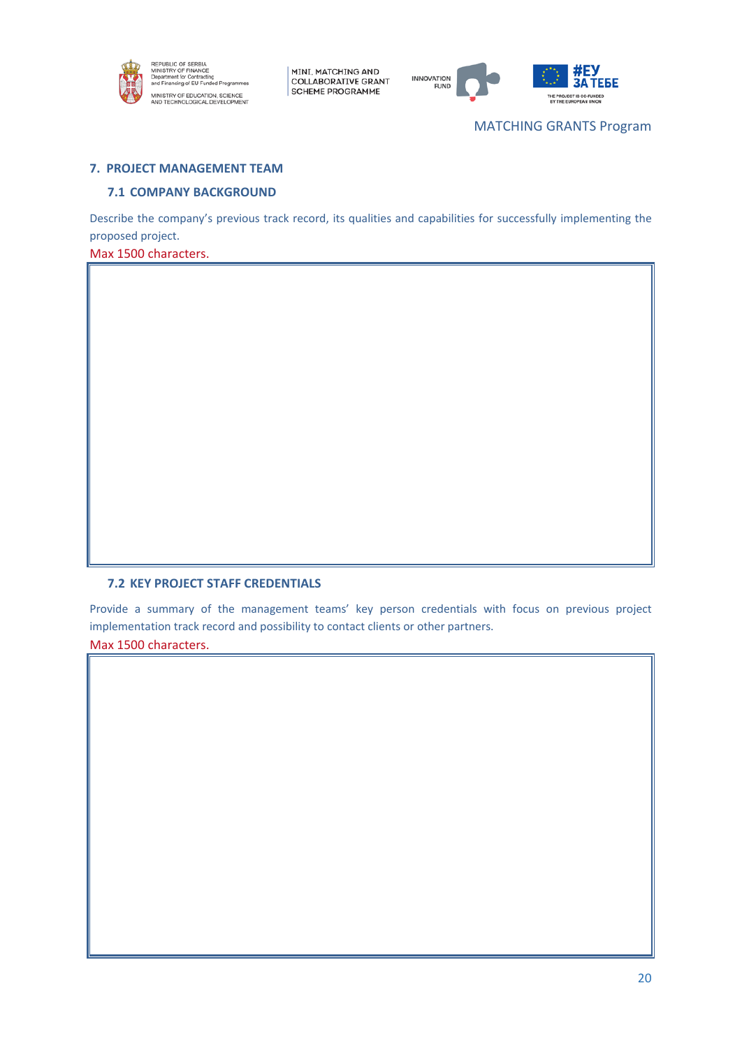



MATCHING GRANTS Program

### **7. PROJECT MANAGEMENT TEAM**

### **7.1 COMPANY BACKGROUND**

Describe the company's previous track record, its qualities and capabilities for successfully implementing the proposed project.

Max 1500 characters.

## **7.2 KEY PROJECT STAFF CREDENTIALS**

Provide a summary of the management teams' key person credentials with focus on previous project implementation track record and possibility to contact clients or other partners.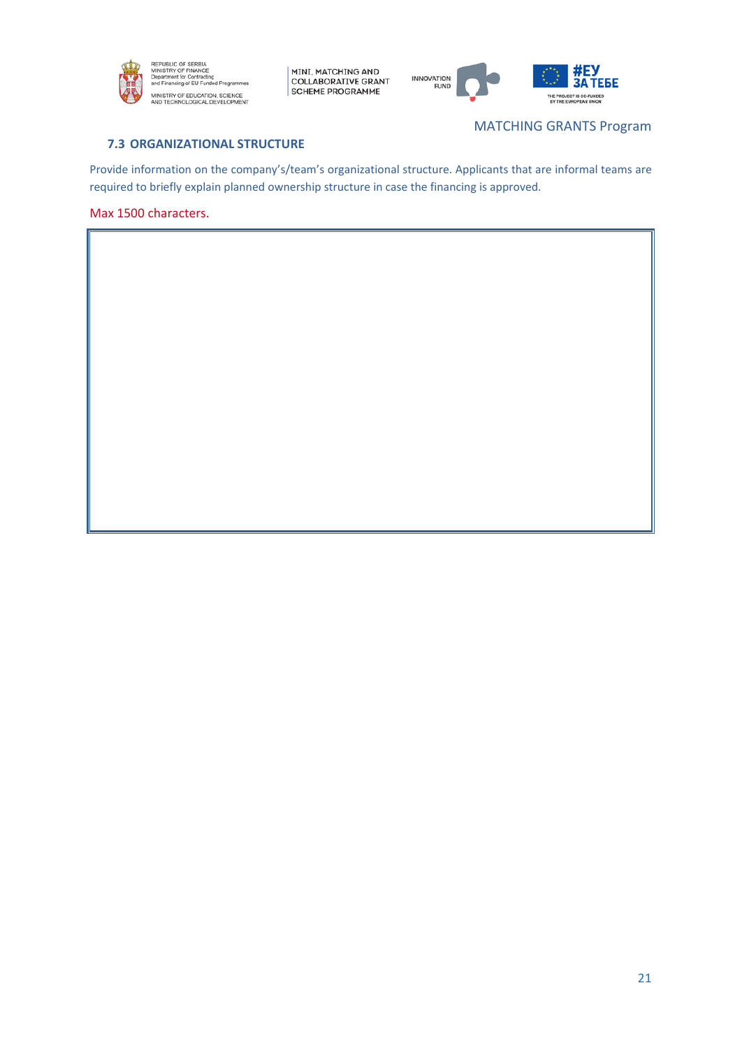



# **7.3 ORGANIZATIONAL STRUCTURE**

MATCHING GRANTS Program

Provide information on the company's/team's organizational structure. Applicants that are informal teams are required to briefly explain planned ownership structure in case the financing is approved.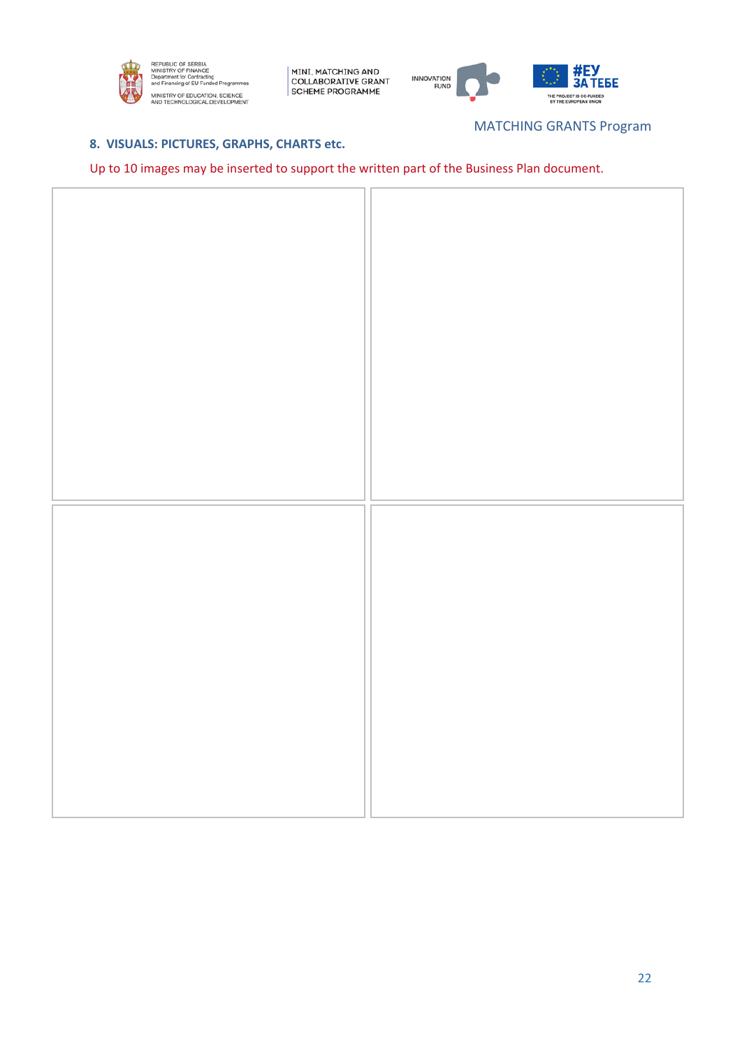



# MATCHING GRANTS Program

# **8. VISUALS: PICTURES, GRAPHS, CHARTS etc.**

# Up to 10 images may be inserted to support the written part of the Business Plan document.